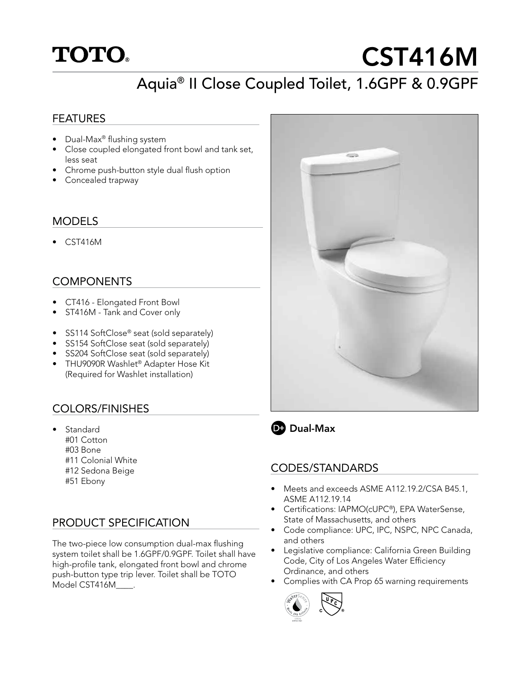

# CST416M

# Aquia® II Close Coupled Toilet, 1.6GPF & 0.9GPF

#### FEATURES

- Dual-Max® flushing system
- Close coupled elongated front bowl and tank set, less seat
- Chrome push-button style dual flush option
- Concealed trapway

#### MODELS

• CST416M

#### **COMPONENTS**

- CT416 Elongated Front Bowl
- ST416M Tank and Cover only
- SS114 SoftClose<sup>®</sup> seat (sold separately)
- SS154 SoftClose seat (sold separately)
- SS204 SoftClose seat (sold separately)
- THU9090R Washlet<sup>®</sup> Adapter Hose Kit (Required for Washlet installation)

## COLORS/FINISHES

- Standard
	- #01 Cotton
	- #03 Bone
	- #11 Colonial White
	- #12 Sedona Beige
	- #51 Ebony

#### PRODUCT SPECIFICATION

The two-piece low consumption dual-max flushing system toilet shall be 1.6GPF/0.9GPF. Toilet shall have high-profile tank, elongated front bowl and chrome push-button type trip lever. Toilet shall be TOTO Model CST416M\_\_\_\_.





## **D**: Dual-Max

#### CODES/STANDARDS

- Meets and exceeds ASME A112.19.2/CSA B45.1, ASME A112.19.14
- Certifications: IAPMO(cUPC®), EPA WaterSense, State of Massachusetts, and others
- Code compliance: UPC, IPC, NSPC, NPC Canada, and others
- Legislative compliance: California Green Building Code, City of Los Angeles Water Efficiency Ordinance, and others
- Complies with CA Prop 65 warning requirements